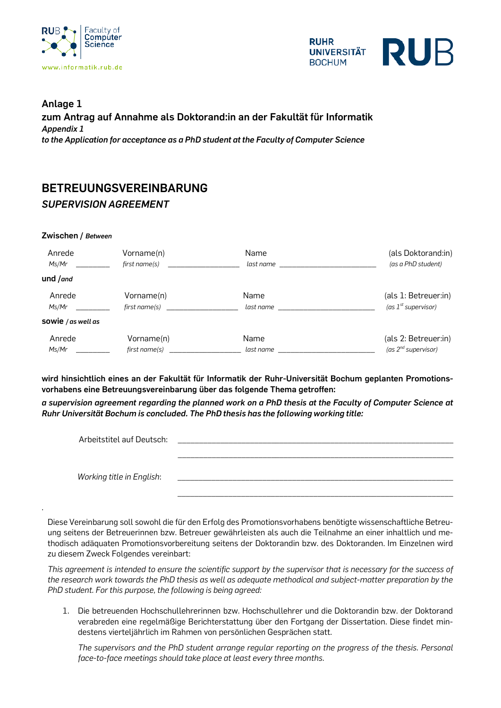



## **Anlage 1 zum Antrag auf Annahme als Doktorand:in an der Fakultät für Informatik** *Appendix 1 to the Application for acceptance as a PhD student at the Faculty of Computer Science*

## **BETREUUNGSVEREINBARUNG** *SUPERVISION AGREEMENT*

## **Zwischen /** *Between*

.

| Anrede<br>Ms/Mr             | Vorname(n)<br>first name(s) | Name<br>last name | (als Doktorand:in)<br>(as a PhD student) |
|-----------------------------|-----------------------------|-------------------|------------------------------------------|
| und / $and$                 |                             |                   |                                          |
| Anrede                      | Vorname(n)                  | Name              | (als 1: Betreuer:in)                     |
| Ms/Mr                       | first name(s)               | last name         | (as $1st$ supervisor)                    |
| <b>SOWIE</b> / $as$ well as |                             |                   |                                          |
| Anrede                      | Vorname(n)                  | Name              | (als 2: Betreuer:in)                     |
| Ms/Mr                       | first name(s)               | last name         | (as 2 <sup>nd</sup> supervisor)          |

**wird hinsichtlich eines an der Fakultät für Informatik der Ruhr-Universität Bochum geplanten Promotionsvorhabens eine Betreuungsvereinbarung über das folgende Thema getroffen:**

*a supervision agreement regarding the planned work on a PhD thesis at the Faculty of Computer Science at Ruhr Universität Bochum is concluded. The PhD thesis has the following working title:* 

| Arbeitstitel auf Deutsch: |  |
|---------------------------|--|
| Working title in English: |  |

Diese Vereinbarung soll sowohl die für den Erfolg des Promotionsvorhabens benötigte wissenschaftliche Betreuung seitens der Betreuerinnen bzw. Betreuer gewährleisten als auch die Teilnahme an einer inhaltlich und methodisch adäquaten Promotionsvorbereitung seitens der Doktorandin bzw. des Doktoranden. Im Einzelnen wird zu diesem Zweck Folgendes vereinbart:

*This agreement is intended to ensure the scientific support by the supervisor that is necessary for the success of the research work towards the PhD thesis as well as adequate methodical and subject-matter preparation by the PhD student. For this purpose, the following is being agreed:*

1. Die betreuenden Hochschullehrerinnen bzw. Hochschullehrer und die Doktorandin bzw. der Doktorand verabreden eine regelmäßige Berichterstattung über den Fortgang der Dissertation. Diese findet mindestens vierteljährlich im Rahmen von persönlichen Gesprächen statt.

*The supervisors and the PhD student arrange regular reporting on the progress of the thesis. Personal face-to-face meetings should take place at least every three months.*